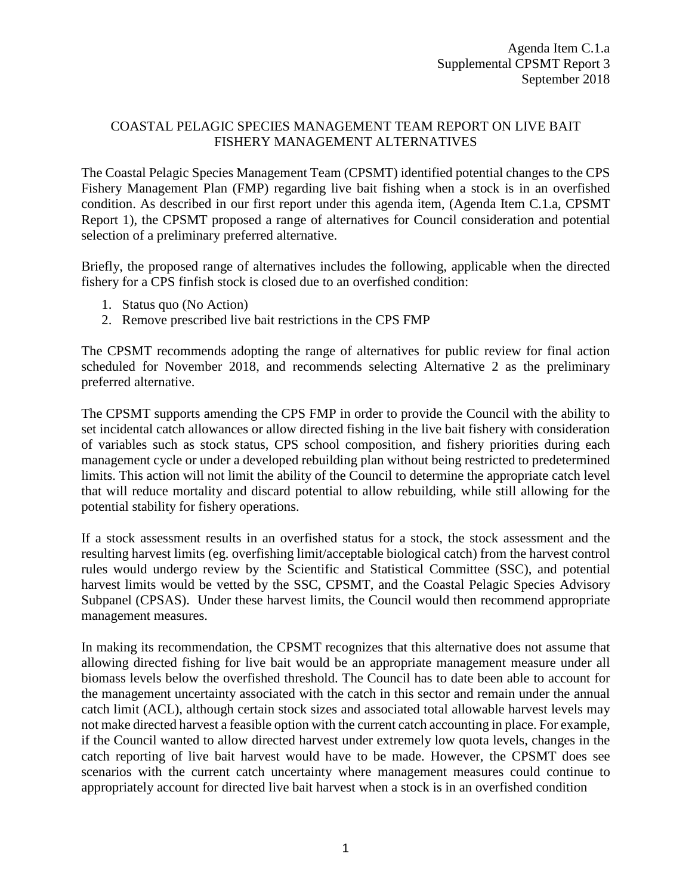## COASTAL PELAGIC SPECIES MANAGEMENT TEAM REPORT ON LIVE BAIT FISHERY MANAGEMENT ALTERNATIVES

The Coastal Pelagic Species Management Team (CPSMT) identified potential changes to the CPS Fishery Management Plan (FMP) regarding live bait fishing when a stock is in an overfished condition. As described in our first report under this agenda item, (Agenda Item C.1.a, CPSMT Report 1), the CPSMT proposed a range of alternatives for Council consideration and potential selection of a preliminary preferred alternative.

Briefly, the proposed range of alternatives includes the following, applicable when the directed fishery for a CPS finfish stock is closed due to an overfished condition:

- 1. Status quo (No Action)
- 2. Remove prescribed live bait restrictions in the CPS FMP

The CPSMT recommends adopting the range of alternatives for public review for final action scheduled for November 2018, and recommends selecting Alternative 2 as the preliminary preferred alternative.

The CPSMT supports amending the CPS FMP in order to provide the Council with the ability to set incidental catch allowances or allow directed fishing in the live bait fishery with consideration of variables such as stock status, CPS school composition, and fishery priorities during each management cycle or under a developed rebuilding plan without being restricted to predetermined limits. This action will not limit the ability of the Council to determine the appropriate catch level that will reduce mortality and discard potential to allow rebuilding, while still allowing for the potential stability for fishery operations.

If a stock assessment results in an overfished status for a stock, the stock assessment and the resulting harvest limits (eg. overfishing limit/acceptable biological catch) from the harvest control rules would undergo review by the Scientific and Statistical Committee (SSC), and potential harvest limits would be vetted by the SSC, CPSMT, and the Coastal Pelagic Species Advisory Subpanel (CPSAS). Under these harvest limits, the Council would then recommend appropriate management measures.

In making its recommendation, the CPSMT recognizes that this alternative does not assume that allowing directed fishing for live bait would be an appropriate management measure under all biomass levels below the overfished threshold. The Council has to date been able to account for the management uncertainty associated with the catch in this sector and remain under the annual catch limit (ACL), although certain stock sizes and associated total allowable harvest levels may not make directed harvest a feasible option with the current catch accounting in place. For example, if the Council wanted to allow directed harvest under extremely low quota levels, changes in the catch reporting of live bait harvest would have to be made. However, the CPSMT does see scenarios with the current catch uncertainty where management measures could continue to appropriately account for directed live bait harvest when a stock is in an overfished condition